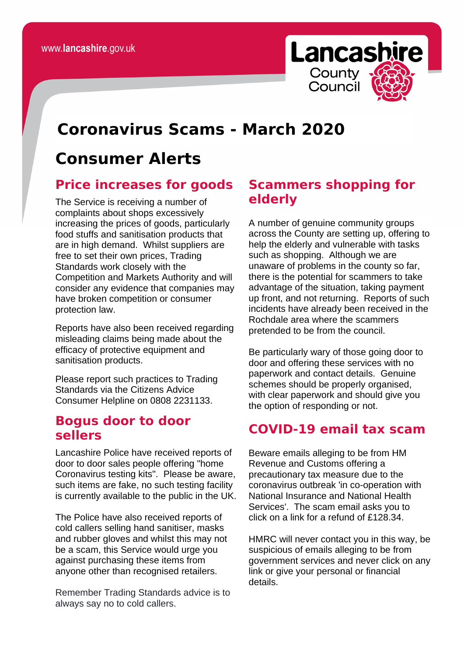

# **Coronavirus Scams - March 2020**

# **Consumer Alerts**

#### **Price increases for goods**

The Service is receiving a number of complaints about shops excessively increasing the prices of goods, particularly food stuffs and sanitisation products that are in high demand. Whilst suppliers are free to set their own prices, Trading Standards work closely with the Competition and Markets Authority and will consider any evidence that companies may have broken competition or consumer protection law.

Reports have also been received regarding misleading claims being made about the efficacy of protective equipment and sanitisation products.

Please report such practices to Trading Standards via the Citizens Advice Consumer Helpline on 0808 2231133.

#### **Bogus door to door sellers**

Lancashire Police have received reports of door to door sales people offering "home Coronavirus testing kits". Please be aware, such items are fake, no such testing facility is currently available to the public in the UK.

The Police have also received reports of cold callers selling hand sanitiser, masks and rubber gloves and whilst this may not be a scam, this Service would urge you against purchasing these items from anyone other than recognised retailers.

Remember Trading Standards advice is to always say no to cold callers.

## **Scammers shopping for elderly**

A number of genuine community groups across the County are setting up, offering to help the elderly and vulnerable with tasks such as shopping. Although we are unaware of problems in the county so far, there is the potential for scammers to take advantage of the situation, taking payment up front, and not returning. Reports of such incidents have already been received in the Rochdale area where the scammers pretended to be from the council.

Be particularly wary of those going door to door and offering these services with no paperwork and contact details. Genuine schemes should be properly organised, with clear paperwork and should give you the option of responding or not.

### **COVID-19 email tax scam**

Beware emails alleging to be from HM Revenue and Customs offering a precautionary tax measure due to the coronavirus outbreak 'in co-operation with National Insurance and National Health Services'. The scam email asks you to click on a link for a refund of £128.34.

HMRC will never contact you in this way, be suspicious of emails alleging to be from government services and never click on any link or give your personal or financial details.